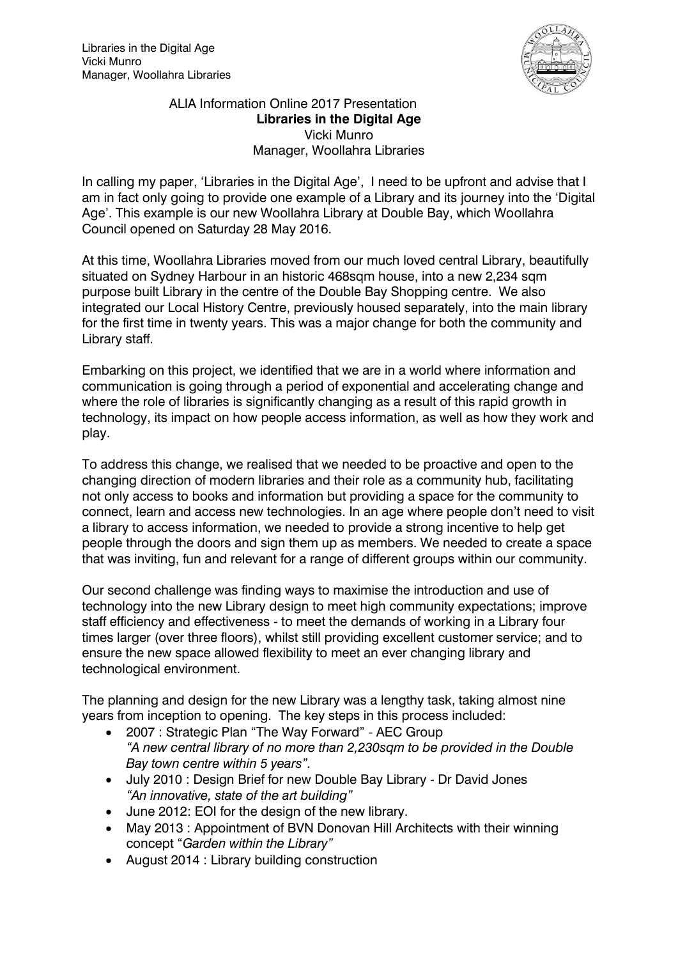

ALIA Information Online 2017 Presentation **Libraries in the Digital Age** Vicki Munro Manager, Woollahra Libraries

In calling my paper, 'Libraries in the Digital Age', I need to be upfront and advise that I am in fact only going to provide one example of a Library and its journey into the 'Digital Age'. This example is our new Woollahra Library at Double Bay, which Woollahra Council opened on Saturday 28 May 2016.

At this time, Woollahra Libraries moved from our much loved central Library, beautifully situated on Sydney Harbour in an historic 468sqm house, into a new 2,234 sqm purpose built Library in the centre of the Double Bay Shopping centre. We also integrated our Local History Centre, previously housed separately, into the main library for the first time in twenty years. This was a major change for both the community and Library staff.

Embarking on this project, we identified that we are in a world where information and communication is going through a period of exponential and accelerating change and where the role of libraries is significantly changing as a result of this rapid growth in technology, its impact on how people access information, as well as how they work and play.

To address this change, we realised that we needed to be proactive and open to the changing direction of modern libraries and their role as a community hub, facilitating not only access to books and information but providing a space for the community to connect, learn and access new technologies. In an age where people don't need to visit a library to access information, we needed to provide a strong incentive to help get people through the doors and sign them up as members. We needed to create a space that was inviting, fun and relevant for a range of different groups within our community.

Our second challenge was finding ways to maximise the introduction and use of technology into the new Library design to meet high community expectations; improve staff efficiency and effectiveness - to meet the demands of working in a Library four times larger (over three floors), whilst still providing excellent customer service; and to ensure the new space allowed flexibility to meet an ever changing library and technological environment.

The planning and design for the new Library was a lengthy task, taking almost nine years from inception to opening. The key steps in this process included:

- 2007 : Strategic Plan "The Way Forward" AEC Group *"A new central library of no more than 2,230sqm to be provided in the Double Bay town centre within 5 years".*
- July 2010 : Design Brief for new Double Bay Library Dr David Jones *"An innovative, state of the art building"*
- June 2012: EOI for the design of the new library.
- May 2013 : Appointment of BVN Donovan Hill Architects with their winning concept "*Garden within the Library"*
- August 2014 : Library building construction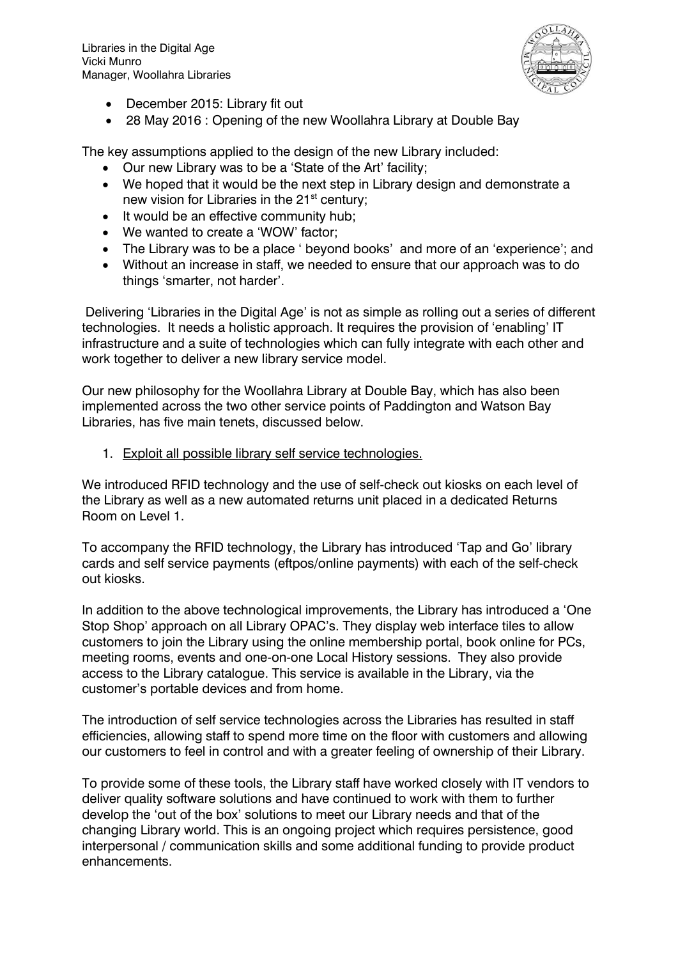Libraries in the Digital Age Vicki Munro Manager, Woollahra Libraries



- December 2015: Library fit out
- 28 May 2016 : Opening of the new Woollahra Library at Double Bay

The key assumptions applied to the design of the new Library included:

- Our new Library was to be a 'State of the Art' facility;
- We hoped that it would be the next step in Library design and demonstrate a new vision for Libraries in the 21<sup>st</sup> century;
- It would be an effective community hub;
- We wanted to create a 'WOW' factor;
- The Library was to be a place ' beyond books' and more of an 'experience'; and
- Without an increase in staff, we needed to ensure that our approach was to do things 'smarter, not harder'.

Delivering 'Libraries in the Digital Age' is not as simple as rolling out a series of different technologies. It needs a holistic approach. It requires the provision of 'enabling' IT infrastructure and a suite of technologies which can fully integrate with each other and work together to deliver a new library service model.

Our new philosophy for the Woollahra Library at Double Bay, which has also been implemented across the two other service points of Paddington and Watson Bay Libraries, has five main tenets, discussed below.

1. Exploit all possible library self service technologies.

We introduced RFID technology and the use of self-check out kiosks on each level of the Library as well as a new automated returns unit placed in a dedicated Returns Room on Level 1.

To accompany the RFID technology, the Library has introduced 'Tap and Go' library cards and self service payments (eftpos/online payments) with each of the self-check out kiosks.

In addition to the above technological improvements, the Library has introduced a 'One Stop Shop' approach on all Library OPAC's. They display web interface tiles to allow customers to join the Library using the online membership portal, book online for PCs, meeting rooms, events and one-on-one Local History sessions. They also provide access to the Library catalogue. This service is available in the Library, via the customer's portable devices and from home.

The introduction of self service technologies across the Libraries has resulted in staff efficiencies, allowing staff to spend more time on the floor with customers and allowing our customers to feel in control and with a greater feeling of ownership of their Library.

To provide some of these tools, the Library staff have worked closely with IT vendors to deliver quality software solutions and have continued to work with them to further develop the 'out of the box' solutions to meet our Library needs and that of the changing Library world. This is an ongoing project which requires persistence, good interpersonal / communication skills and some additional funding to provide product enhancements.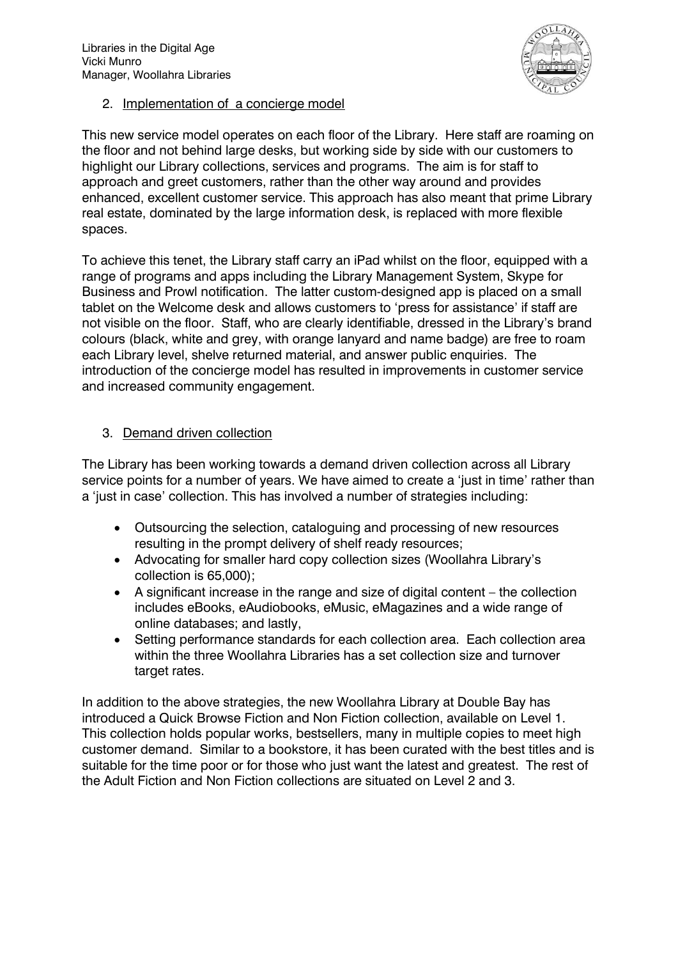Libraries in the Digital Age Vicki Munro Manager, Woollahra Libraries



2. Implementation of a concierge model

This new service model operates on each floor of the Library. Here staff are roaming on the floor and not behind large desks, but working side by side with our customers to highlight our Library collections, services and programs. The aim is for staff to approach and greet customers, rather than the other way around and provides enhanced, excellent customer service. This approach has also meant that prime Library real estate, dominated by the large information desk, is replaced with more flexible spaces.

To achieve this tenet, the Library staff carry an iPad whilst on the floor, equipped with a range of programs and apps including the Library Management System, Skype for Business and Prowl notification. The latter custom-designed app is placed on a small tablet on the Welcome desk and allows customers to 'press for assistance' if staff are not visible on the floor. Staff, who are clearly identifiable, dressed in the Library's brand colours (black, white and grey, with orange lanyard and name badge) are free to roam each Library level, shelve returned material, and answer public enquiries. The introduction of the concierge model has resulted in improvements in customer service and increased community engagement.

# 3. Demand driven collection

The Library has been working towards a demand driven collection across all Library service points for a number of years. We have aimed to create a 'just in time' rather than a 'just in case' collection. This has involved a number of strategies including:

- Outsourcing the selection, cataloguing and processing of new resources resulting in the prompt delivery of shelf ready resources;
- Advocating for smaller hard copy collection sizes (Woollahra Library's collection is 65,000);
- A significant increase in the range and size of digital content the collection includes eBooks, eAudiobooks, eMusic, eMagazines and a wide range of online databases; and lastly,
- Setting performance standards for each collection area. Each collection area within the three Woollahra Libraries has a set collection size and turnover target rates.

In addition to the above strategies, the new Woollahra Library at Double Bay has introduced a Quick Browse Fiction and Non Fiction collection, available on Level 1. This collection holds popular works, bestsellers, many in multiple copies to meet high customer demand. Similar to a bookstore, it has been curated with the best titles and is suitable for the time poor or for those who just want the latest and greatest. The rest of the Adult Fiction and Non Fiction collections are situated on Level 2 and 3.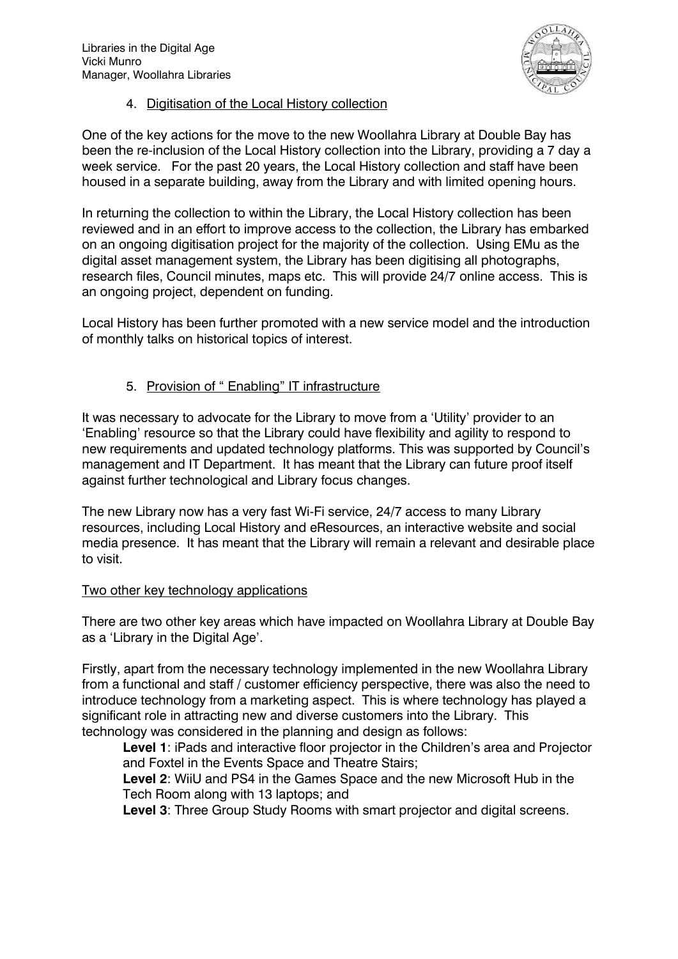

# 4. Digitisation of the Local History collection

One of the key actions for the move to the new Woollahra Library at Double Bay has been the re-inclusion of the Local History collection into the Library, providing a 7 day a week service. For the past 20 years, the Local History collection and staff have been housed in a separate building, away from the Library and with limited opening hours.

In returning the collection to within the Library, the Local History collection has been reviewed and in an effort to improve access to the collection, the Library has embarked on an ongoing digitisation project for the majority of the collection. Using EMu as the digital asset management system, the Library has been digitising all photographs, research files, Council minutes, maps etc. This will provide 24/7 online access. This is an ongoing project, dependent on funding.

Local History has been further promoted with a new service model and the introduction of monthly talks on historical topics of interest.

# 5. Provision of " Enabling" IT infrastructure

It was necessary to advocate for the Library to move from a 'Utility' provider to an 'Enabling' resource so that the Library could have flexibility and agility to respond to new requirements and updated technology platforms. This was supported by Council's management and IT Department. It has meant that the Library can future proof itself against further technological and Library focus changes.

The new Library now has a very fast Wi-Fi service, 24/7 access to many Library resources, including Local History and eResources, an interactive website and social media presence. It has meant that the Library will remain a relevant and desirable place to visit.

# Two other key technology applications

There are two other key areas which have impacted on Woollahra Library at Double Bay as a 'Library in the Digital Age'.

Firstly, apart from the necessary technology implemented in the new Woollahra Library from a functional and staff / customer efficiency perspective, there was also the need to introduce technology from a marketing aspect. This is where technology has played a significant role in attracting new and diverse customers into the Library. This technology was considered in the planning and design as follows:

**Level 1**: iPads and interactive floor projector in the Children's area and Projector and Foxtel in the Events Space and Theatre Stairs;

**Level 2**: WiiU and PS4 in the Games Space and the new Microsoft Hub in the Tech Room along with 13 laptops; and

**Level 3**: Three Group Study Rooms with smart projector and digital screens.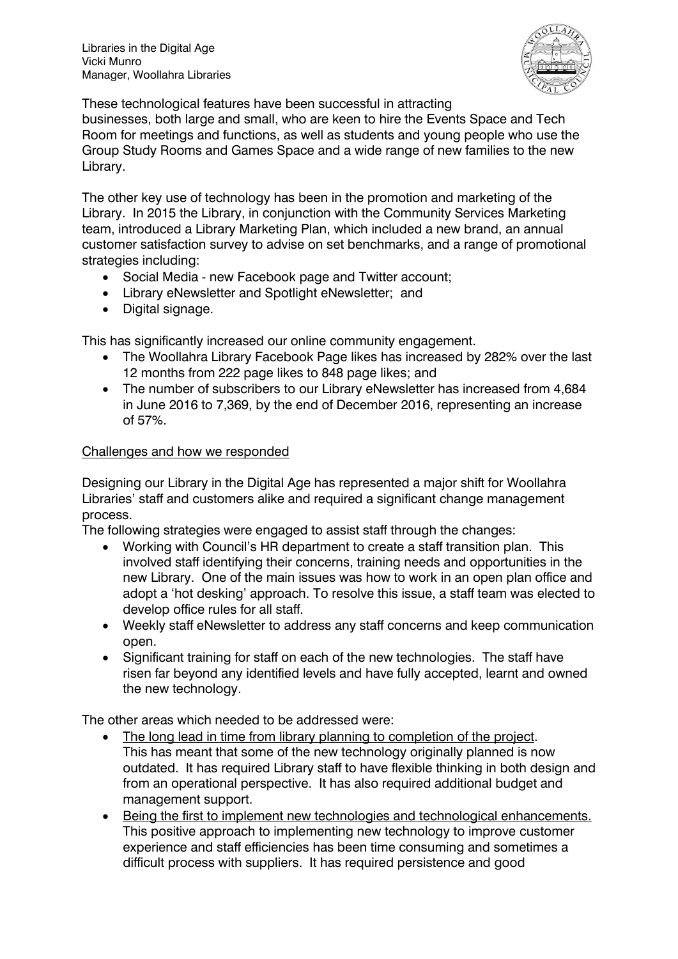

These technological features have been successful in attracting

businesses, both large and small, who are keen to hire the Events Space and Tech Room for meetings and functions, as well as students and young people who use the Group Study Rooms and Games Space and a wide range of new families to the new Library.

The other key use of technology has been in the promotion and marketing of the Library. In 2015 the Library, in conjunction with the Community Services Marketing team, introduced a Library Marketing Plan, which included a new brand, an annual customer satisfaction survey to advise on set benchmarks, and a range of promotional strategies including:

- Social Media new Facebook page and Twitter account;
- Library eNewsletter and Spotlight eNewsletter; and
- Digital signage.

This has significantly increased our online community engagement.

- The Woollahra Library Facebook Page likes has increased by 282% over the last 12 months from 222 page likes to 848 page likes; and
- The number of subscribers to our Library eNewsletter has increased from 4,684 in June 2016 to 7,369, by the end of December 2016, representing an increase of 57%.

# Challenges and how we responded

Designing our Library in the Digital Age has represented a major shift for Woollahra Libraries' staff and customers alike and required a significant change management process.

The following strategies were engaged to assist staff through the changes:

- Working with Council's HR department to create a staff transition plan. This involved staff identifying their concerns, training needs and opportunities in the new Library. One of the main issues was how to work in an open plan office and adopt a 'hot desking' approach. To resolve this issue, a staff team was elected to develop office rules for all staff.
- Weekly staff eNewsletter to address any staff concerns and keep communication open.
- Significant training for staff on each of the new technologies. The staff have risen far beyond any identified levels and have fully accepted, learnt and owned the new technology.

The other areas which needed to be addressed were:

- The long lead in time from library planning to completion of the project. This has meant that some of the new technology originally planned is now outdated. It has required Library staff to have flexible thinking in both design and from an operational perspective. It has also required additional budget and management support.
- Being the first to implement new technologies and technological enhancements. This positive approach to implementing new technology to improve customer experience and staff efficiencies has been time consuming and sometimes a difficult process with suppliers. It has required persistence and good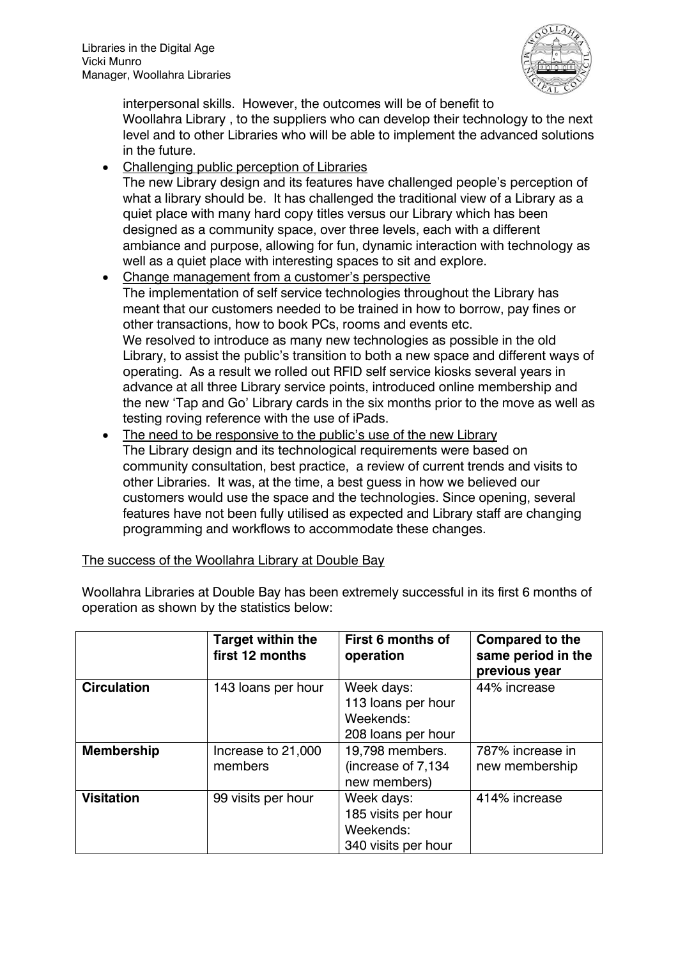

interpersonal skills. However, the outcomes will be of benefit to Woollahra Library , to the suppliers who can develop their technology to the next level and to other Libraries who will be able to implement the advanced solutions in the future.

Challenging public perception of Libraries

The new Library design and its features have challenged people's perception of what a library should be. It has challenged the traditional view of a Library as a quiet place with many hard copy titles versus our Library which has been designed as a community space, over three levels, each with a different ambiance and purpose, allowing for fun, dynamic interaction with technology as well as a quiet place with interesting spaces to sit and explore.

- Change management from a customer's perspective The implementation of self service technologies throughout the Library has meant that our customers needed to be trained in how to borrow, pay fines or other transactions, how to book PCs, rooms and events etc. We resolved to introduce as many new technologies as possible in the old Library, to assist the public's transition to both a new space and different ways of operating. As a result we rolled out RFID self service kiosks several years in advance at all three Library service points, introduced online membership and the new 'Tap and Go' Library cards in the six months prior to the move as well as testing roving reference with the use of iPads.
- The need to be responsive to the public's use of the new Library The Library design and its technological requirements were based on community consultation, best practice, a review of current trends and visits to other Libraries. It was, at the time, a best guess in how we believed our customers would use the space and the technologies. Since opening, several features have not been fully utilised as expected and Library staff are changing programming and workflows to accommodate these changes.

| The success of the Woollahra Library at Double Bay |  |  |  |
|----------------------------------------------------|--|--|--|
|                                                    |  |  |  |

Woollahra Libraries at Double Bay has been extremely successful in its first 6 months of operation as shown by the statistics below:

|                    | <b>Target within the</b><br>first 12 months | First 6 months of<br>operation                                        | <b>Compared to the</b><br>same period in the<br>previous year |
|--------------------|---------------------------------------------|-----------------------------------------------------------------------|---------------------------------------------------------------|
| <b>Circulation</b> | 143 loans per hour                          | Week days:<br>113 loans per hour<br>Weekends:<br>208 loans per hour   | 44% increase                                                  |
| <b>Membership</b>  | Increase to 21,000<br>members               | 19,798 members.<br>(increase of 7,134<br>new members)                 | 787% increase in<br>new membership                            |
| <b>Visitation</b>  | 99 visits per hour                          | Week days:<br>185 visits per hour<br>Weekends:<br>340 visits per hour | 414% increase                                                 |